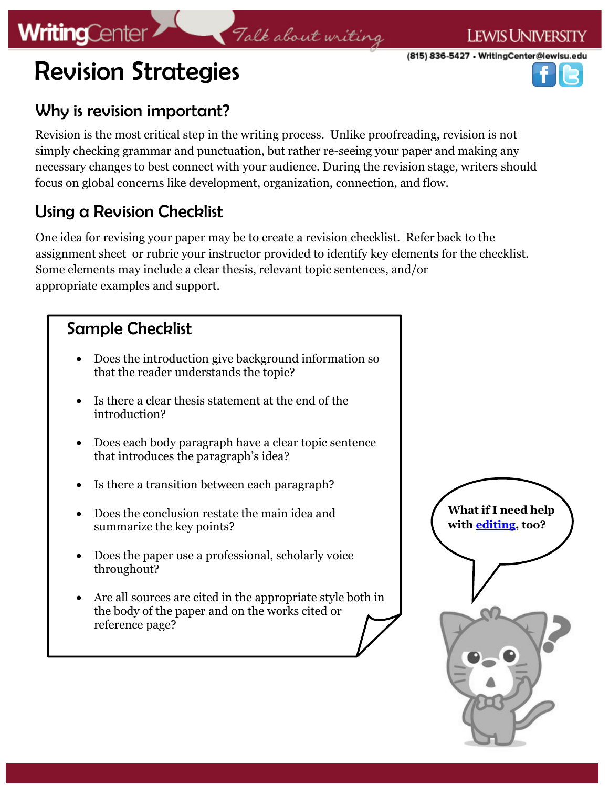# **WritingCenter**





### Why is revision important?

Revision is the most critical step in the writing process. Unlike proofreading, revision is not simply checking grammar and punctuation, but rather re-seeing your paper and making any necessary changes to best connect with your audience. During the revision stage, writers should focus on global concerns like development, organization, connection, and flow.

### Using a Revision Checklist

One idea for revising your paper may be to create a revision checklist. Refer back to the assignment sheet or rubric your instructor provided to identify key elements for the checklist. Some elements may include a clear thesis, relevant topic sentences, and/or appropriate examples and support.

### Sample Checklist Does the introduction give background information so that the reader understands the topic? Is there a clear thesis statement at the end of the introduction? Does each body paragraph have a clear topic sentence that introduces the paragraph's idea? • Is there a transition between each paragraph? Does the conclusion restate the main idea and summarize the key points? Does the paper use a professional, scholarly voice throughout? Are all sources are cited in the appropriate style both in the body of the paper and on the works cited or reference page? **What if I need help with [editing,](https://lewisuwritingcenter.files.wordpress.com/2014/02/editing-and-proofing.pdf) too?**